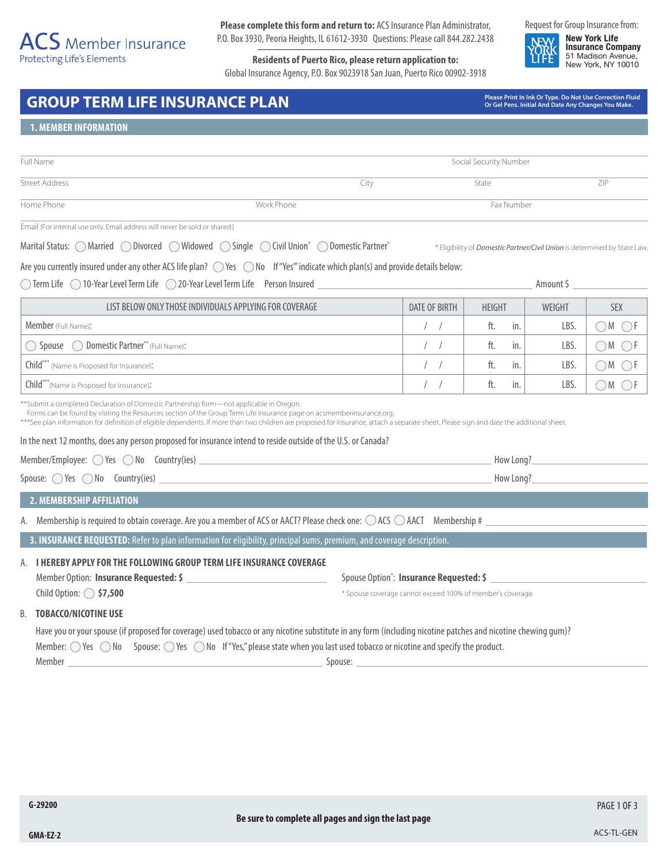# $\overline{ACS}$  Member Insurance Protecting Life's Elements

**Please complete this form and return to:** ACS Insurance Plan Administrator, P.O. Box 3930, Peoria Heights, IL 61612-3930 Questions: Please call 844.282.2438

**Residents of Puerto Rico, please return application to:** Global Insurance Agency, P.O. Box 9023918 San Juan, Puerto Rico 00902-3918 Request for Group Insurance from:

**New York Life Insurance Company** 51 Madison Avenue, New York, NY 10010

# GROUP TERM LIFE INSURANCE PLAN<br> *GROUP* TERM LIFE INSURANCE PLAN

**Or Gel Pens. Initial And Date Any Changes You Make.**

\* Eligibility of *Domestic Partner/Civil Union* is determined by State Law.

### **1. MEMBER INFORMATION**

| Full Name             |            | Social Security Number |            |     |  |
|-----------------------|------------|------------------------|------------|-----|--|
| <b>Street Address</b> |            | City                   | State      | ZIP |  |
| Home Phone            | Work Phone |                        | Fax Number |     |  |

Email (For internal use only. Email address will never be sold or shared.)

Marital Status: MarriedDivorcedWidowedSingleCivil Union\* Domestic Partner\*

Are you currently insured under any other ACS life plan?  $\bigcirc$  Yes  $\bigcirc$  No If "Yes" indicate which plan(s) and provide details below:

◯ Term Life ◯ 10-Year Level Term Life ◯ 20-Year Level Term Life Person Insured <u>Amount \$</u> Amount \$ Amount \$ Amount \$

| LIST BELOW ONLY THOSE INDIVIDUALS APPLYING FOR COVERAGE<br>DATE OF BIRTH |  | <b>HEIGHT</b> | WEIGHT | SEX |
|--------------------------------------------------------------------------|--|---------------|--------|-----|
| Member (Full Name):                                                      |  | ft.<br>in.    | LBS.   |     |
| Spouse  O Domestic Partner** (Full Name):                                |  | ft.<br>in.    | LBS    |     |
| Child <sup>***</sup> (Name is Proposed for Insurance):                   |  | in.<br>ft.    | LBS.   |     |
| Child***(Name is Proposed for Insurance):                                |  | ft.<br>in.    | LBS.   |     |

\*\*Submit a completed Declaration of Domestic Partnership form—not applicable in Oregon.

Forms can be found by visiting the Resources section of the Group Term Life Insurance page on acsmemberinsurance.org.

\*\*\*See plan information for definition of eligible dependents. If more than two children are proposed for insurance, attach a separate sheet. Please sign and date the additional sheet.

In the next 12 months, does any person proposed for insurance intend to reside outside of the U.S. or Canada?

| Member/Employee: $\bigcirc$ Yes $\bigcirc$ No Country(ies) | How Long? |
|------------------------------------------------------------|-----------|
| Spouse: $\bigcirc$ Yes $\bigcirc$ No Country(ies)          | How Long? |

#### **2. MEMBERSHIP AFFILIATION**

A. Membership is required to obtain coverage. Are you a member of ACS or AACT? Please check one:  $\bigcirc$  ACS  $\bigcirc$  AACT Membership #

**3. INSURANCE REQUESTED:** Refer to plan information for eligibility, principal sums, premium, and coverage description.

# A. **I HEREBY APPLY FOR THE FOLLOWING GROUP TERM LIFE INSURANCE COVERAGE** Member Option: **Insurance Requested: \$**

Child Option: **\$7,500** 

: **Insurance Requested: \$** 

\* Spouse coverage cannot exceed 100% of member's coverage.

#### B. **TOBACCO/NICOTINE USE**

Have you or your spouse (if proposed for coverage) used tobacco or any nicotine substitute in any form (including nicotine patches and nicotine chewing gum)? Member:  $\bigcirc$  Yes  $\bigcirc$  No Spouse:  $\bigcirc$  Yes  $\bigcirc$  No If "Yes," please state when you last used tobacco or nicotine and specify the product. Member Spouse: Spouse: Spouse: Spouse: Spouse: Spouse: Spouse: Spouse: Spouse: Spouse: Spouse: Spouse: Spouse: Spouse: Spouse: Spouse: Spouse: Spouse: Spouse: Spouse: Spouse: Spouse: Spouse: Spouse: Spouse: Spouse: Spouse:

PAGE 1 OF 3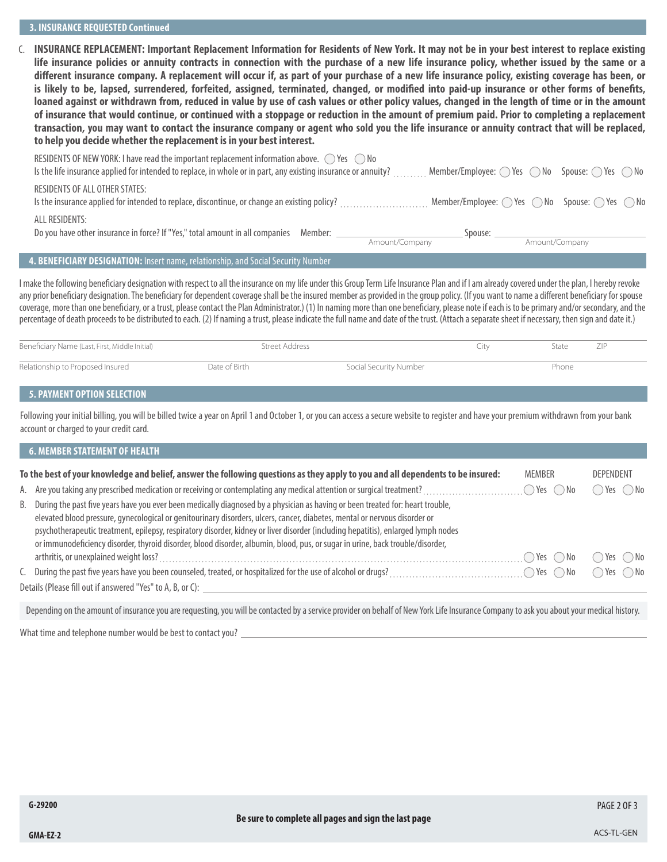#### **3. INSURANCE REQUESTED Continued**

C. **INSURANCE REPLACEMENT: Important Replacement Information for Residents of New York. It may not be in your best interest to replace existing life insurance policies or annuity contracts in connection with the purchase of a new life insurance policy, whether issued by the same or a different insurance company. A replacement will occur if, as part of your purchase of a new life insurance policy, existing coverage has been, or is likely to be, lapsed, surrendered, forfeited, assigned, terminated, changed, or modified into paid-up insurance or other forms of benefits, loaned against or withdrawn from, reduced in value by use of cash values or other policy values, changed in the length of time or in the amount of insurance that would continue, or continued with a stoppage or reduction in the amount of premium paid. Prior to completing a replacement transaction, you may want to contact the insurance company or agent who sold you the life insurance or annuity contract that will be replaced, to help you decide whether the replacement is in your best interest.**

| RESIDENTS OF ALL OTHER STATES:                                                                                                                                                                                                       |                |         |                |  |
|--------------------------------------------------------------------------------------------------------------------------------------------------------------------------------------------------------------------------------------|----------------|---------|----------------|--|
|                                                                                                                                                                                                                                      |                |         |                |  |
| ALL RESIDENTS:<br>Do you have other insurance in force? If "Yes," total amount in all companies Member: __                                                                                                                           |                | Spouse: |                |  |
|                                                                                                                                                                                                                                      | Amount/Company |         | Amount/Company |  |
| $\blacksquare$ . The contract of the contract of the contract of the contract of the contract of the contract of the contract of the contract of the contract of the contract of the contract of the contract of the contract of the |                |         |                |  |

#### **4. BENEFICIARY DESIGNATION:** Insert name, relationship, and Social Security Number

I make the following beneficiary designation with respect to all the insurance on my life under this Group Term Life Insurance Plan and if I am already covered under the plan, I hereby revoke any prior beneficiary designation. The beneficiary for dependent coverage shall be the insured member as provided in the group policy. (If you want to name a different beneficiary for spouse coverage, more than one beneficiary, or a trust, please contact the Plan Administrator.) (1) In naming more than one beneficiary, please note if each is to be primary and/or secondary, and the percentage of death proceeds to be distributed to each. (2) If naming a trust, please indicate the full name and date of the trust. (Attach a separate sheet if necessary, then sign and date it.)

| Beneficiary Name (Last, First, Middle Initial) | Street Address |                        | - Itv | State | ZIP |
|------------------------------------------------|----------------|------------------------|-------|-------|-----|
| Relationship to Proposed Insured               | Date of Birth  | Social Security Number |       | Phone |     |

# **5. PAYMENT OPTION SELECTION**

Following your initial billing, you will be billed twice a year on April 1 and October 1, or you can access a secure website to register and have your premium withdrawn from your bank account or charged to your credit card.

| <b>6. MEMBER STATEMENT OF HEALTH</b>                                                                                                                                                                                                                                                                                                                                                                                                                                                                                                   |                                      |                              |
|----------------------------------------------------------------------------------------------------------------------------------------------------------------------------------------------------------------------------------------------------------------------------------------------------------------------------------------------------------------------------------------------------------------------------------------------------------------------------------------------------------------------------------------|--------------------------------------|------------------------------|
| To the best of your knowledge and belief, answer the following questions as they apply to you and all dependents to be insured:                                                                                                                                                                                                                                                                                                                                                                                                        | <b>MEMBER</b>                        | <b>DEPENDENT</b>             |
|                                                                                                                                                                                                                                                                                                                                                                                                                                                                                                                                        | $\bigcap$ Yes $\bigcup$ <sup>r</sup> | $\bigcirc$ Yes $\bigcirc$ No |
| B. During the past five years have you ever been medically diagnosed by a physician as having or been treated for: heart trouble,<br>elevated blood pressure, gynecological or genitourinary disorders, ulcers, cancer, diabetes, mental or nervous disorder or<br>psychotherapeutic treatment, epilepsy, respiratory disorder, kidney or liver disorder (including hepatitis), enlarged lymph nodes<br>or immunodeficiency disorder, thyroid disorder, blood disorder, albumin, blood, pus, or sugar in urine, back trouble/disorder, |                                      |                              |
|                                                                                                                                                                                                                                                                                                                                                                                                                                                                                                                                        | $\bigcirc$ Yes $\bigcirc$ No         | ◯ Yes ( ) No                 |
|                                                                                                                                                                                                                                                                                                                                                                                                                                                                                                                                        | $\bigcirc$ Yes $\bigcirc$ No         | ◯ Yes ( ) No                 |
| Details (Please fill out if answered "Yes" to A, B, or C):                                                                                                                                                                                                                                                                                                                                                                                                                                                                             |                                      |                              |
| Depending on the amount of insurance you are requesting, you will be contacted by a service provider on behalf of New York Life Insurance Company to ask you about your medical history.                                                                                                                                                                                                                                                                                                                                               |                                      |                              |

What time and telephone number would be best to contact you?

PAGE 2 OF 3